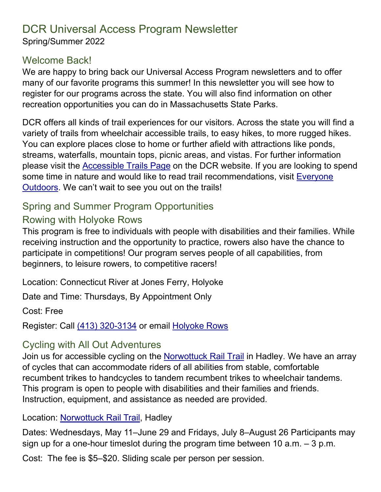## DCR Universal Access Program Newsletter Spring/Summer 2022

#### Welcome Back!

We are happy to bring back our Universal Access Program newsletters and to offer many of our favorite programs this summer! In this newsletter you will see how to register for our programs across the state. You will also find information on other recreation opportunities you can do in Massachusetts State Parks.

DCR offers all kinds of trail experiences for our visitors. Across the state you will find a variety of trails from wheelchair accessible trails, to easy hikes, to more rugged hikes. You can explore places close to home or further afield with attractions like ponds, streams, waterfalls, mountain tops, picnic areas, and vistas. For further information please visit the [Accessible Trails Page](https://www.mass.gov/info-details/accessible-trails) on the DCR website. If you are looking to spend some time in nature and would like to read trail recommendations, visit [Everyone](https://everyoneoutdoors.blogspot.com/p/covid-era-trail-recommendations.html)  Outdoors. We can't wait to see you out on the trails!

### Spring and Summer Program Opportunities

#### Rowing with Holyoke Rows

This program is free to individuals with people with disabilities and their families. While receiving instruction and the opportunity to practice, rowers also have the chance to participate in competitions! Our program serves people of all capabilities, from beginners, to leisure rowers, to competitive racers!

Location: Connecticut River at Jones Ferry, Holyoke

Date and Time: Thursdays, By Appointment Only

Cost: Free

Register: Call [\(413\) 320-3134](tel:413-320-3134) or email [Holyoke Rows](mailto:office@holyokerows.org)

### Cycling with All Out Adventures

Join us for accessible cycling on the [Norwottuck Rail Trail](https://www.mass.gov/locations/norwottuck-rail-trail) in Hadley. We have an array of cycles that can accommodate riders of all abilities from stable, comfortable recumbent trikes to handcycles to tandem recumbent trikes to wheelchair tandems. This program is open to people with disabilities and their families and friends. Instruction, equipment, and assistance as needed are provided.

#### Location: [Norwottuck Rail Trail,](https://www.mass.gov/locations/norwottuck-rail-trail) Hadley

Dates: Wednesdays, May 11–June 29 and Fridays, July 8–August 26 Participants may sign up for a one-hour timeslot during the program time between 10 a.m.  $-3$  p.m.

Cost: The fee is \$5–\$20. Sliding scale per person per session.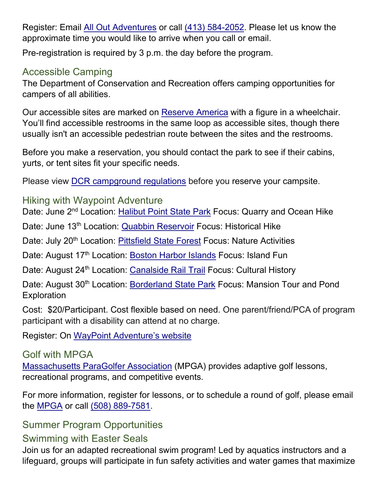Register: Email [All Out Adventures](mailto:info@alloutadventures.org) or call [\(413\) 584-2052.](tel:4135842052) Please let us know the approximate time you would like to arrive when you call or email.

Pre-registration is required by 3 p.m. the day before the program.

### Accessible Camping

The Department of Conservation and Recreation offers camping opportunities for campers of all abilities.

Our accessible sites are marked on [Reserve America](https://www.reserveamerica.com/) with a figure in a wheelchair. You'll find accessible restrooms in the same loop as accessible sites, though there usually isn't an accessible pedestrian route between the sites and the restrooms.

Before you make a reservation, you should contact the park to see if their cabins, yurts, or tent sites fit your specific needs.

Please view DCR [campground regulations](https://www.mass.gov/service-details/learn-about-campground-regulations) before you reserve your campsite.

### Hiking with Waypoint Adventure

Date: June 2<sup>nd</sup> Location: [Halibut Point](https://www.mass.gov/locations/halibut-point-state-park) State Park Focus: Quarry and Ocean Hike

Date: June 13<sup>th</sup> Location: [Quabbin Reservoir](https://www.mass.gov/locations/quabbin-reservoir) Focus: Historical Hike

Date: July 20<sup>th</sup> Location: [Pittsfield State Forest](https://www.mass.gov/locations/pittsfield-state-forest) Focus: Nature Activities

Date: August 17<sup>th</sup> Location: [Boston Harbor](https://www.mass.gov/locations/boston-harbor-islands) Islands Focus: Island Fun

Date: August 24<sup>th</sup> Location: [Canalside Rail Trail](https://www.mass.gov/locations/canalside-rail-trail) Focus: Cultural History

Date: August 30<sup>th</sup> Location: [Borderland State Park](https://www.mass.gov/locations/borderland-state-park) Focus: Mansion Tour and Pond **Exploration** 

Cost: \$20/Participant. Cost flexible based on need. One parent/friend/PCA of program participant with a disability can attend at no charge.

Register: On [WayPoint Adventure's website](https://www.waypointadventure.org/)

### Golf with MPGA

[Massachusetts ParaGolfer Association](https://www.mpga.club/) (MPGA) provides adaptive golf lessons, recreational programs, and competitive events.

For more information, register for lessons, or to schedule a round of golf, please email the [MPGA](mailto:mpga.club@gmail.com) or call [\(508\) 889-7581.](tel:508-889-7581)

### Summer Program Opportunities

### Swimming with Easter Seals

Join us for an adapted recreational swim program! Led by aquatics instructors and a lifeguard, groups will participate in fun safety activities and water games that maximize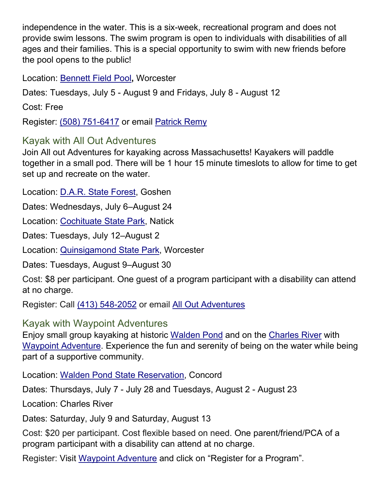independence in the water. This is a six-week, recreational program and does not provide swim lessons. The swim program is open to individuals with disabilities of all ages and their families. This is a special opportunity to swim with new friends before the pool opens to the public!

Location: [Bennett Field Pool](https://www.mass.gov/locations/veterans-memorial-bennett-field-swimming-pool)**,** Worcester

Dates: Tuesdays, July 5 - August 9 and Fridays, July 8 - August 12

Cost: Free

Register: [\(508\) 751-6417](tel:508-751-6417) or email [Patrick Remy](mailto:PRemy@eastersealsma.org) 

### Kayak with All Out Adventures

Join All out Adventures for kayaking across Massachusetts! Kayakers will paddle together in a small pod. There will be 1 hour 15 minute timeslots to allow for time to get set up and recreate on the water.

Location: **D.A.R. State Forest**, Goshen

Dates: Wednesdays, July 6–August 24

Location: [Cochituate State Park,](https://www.mass.gov/locations/cochituate-state-park) Natick

Dates: Tuesdays, July 12–August 2

Location: [Quinsigamond State Park,](https://www.mass.gov/locations/quinsigamond-state-park) Worcester

Dates: Tuesdays, August 9–August 30

Cost: \$8 per participant. One guest of a program participant with a disability can attend at no charge.

Register: Call [\(413\) 548-2052](tel:4135482052) or email [All Out Adventures](mailto:info@alloutadventures.org) 

Kayak with Waypoint Adventures

Enjoy small group kayaking at historic [Walden Pond](https://www.mass.gov/locations/walden-pond-state-reservation) and on the [Charles River](https://www.mass.gov/locations/charles-river-reservation) with [Waypoint Adventure.](https://www.waypointadventure.org/) Experience the fun and serenity of being on the water while being part of a supportive community.

Location: Walden Pond [State Reservation,](https://www.mass.gov/locations/walden-pond-state-reservation) Concord

Dates: Thursdays, July 7 - July 28 and Tuesdays, August 2 - August 23

Location: Charles River

Dates: Saturday, July 9 and Saturday, August 13

Cost: \$20 per participant. Cost flexible based on need. One parent/friend/PCA of a program participant with a disability can attend at no charge.

Register: Visit [Waypoint Adventure](https://www.waypointadventure.org/) and click on "Register for a Program".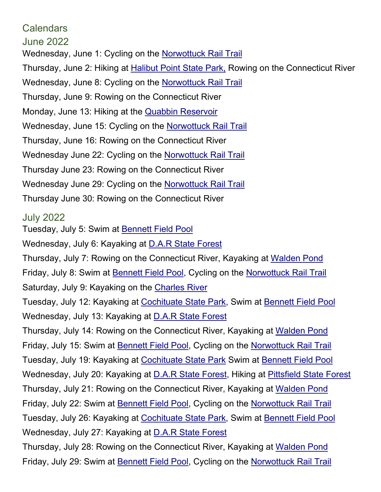### **Calendars**

June 2022

Wednesday, June 1: Cycling on the [Norwottuck Rail Trail](https://www.mass.gov/locations/norwottuck-rail-trail)

Thursday, June 2: Hiking at [Halibut Point State Park,](https://www.mass.gov/locations/halibut-point-state-park) Rowing on the Connecticut River

Wednesday, June 8: Cycling on the [Norwottuck Rail Trail](https://www.mass.gov/locations/norwottuck-rail-trail)

Thursday, June 9: Rowing on the Connecticut River

Monday, June 13: Hiking at the [Quabbin Reservoir](https://www.mass.gov/locations/quabbin-reservoir)

Wednesday, June 15: Cycling on the [Norwottuck Rail Trail](https://www.mass.gov/locations/norwottuck-rail-trail)

Thursday, June 16: Rowing on the Connecticut River

Wednesday June 22: Cycling on the [Norwottuck Rail Trail](https://www.mass.gov/locations/norwottuck-rail-trail)

Thursday June 23: Rowing on the Connecticut River

Wednesday June 29: Cycling on the [Norwottuck Rail Trail](https://www.mass.gov/locations/norwottuck-rail-trail)

Thursday June 30: Rowing on the Connecticut River

# July 2022

Tuesday, July 5: Swim at [Bennett Field Pool](https://www.mass.gov/locations/veterans-memorial-bennett-field-swimming-pool)

Wednesday, July 6: Kayaking at D.A.R State [Forest](https://www.mass.gov/locations/daughters-of-the-american-revolution-dar-state-forest)

Thursday, July 7: Rowing on the Connecticut River, Kayaking at [Walden](https://www.mass.gov/locations/walden-pond-state-reservation) Pond Friday, July 8: Swim at **Bennett Field Pool, Cycling on the [Norwottuck Rail Trail](https://www.mass.gov/locations/norwottuck-rail-trail)** Saturday, July 9: Kayaking on the [Charles River](https://www.mass.gov/locations/charles-river-reservation)

Tuesday, July 12: Kayaking at [Cochituate](https://www.mass.gov/locations/cochituate-state-park) State Park, Swim at [Bennett Field Pool](https://www.mass.gov/locations/veterans-memorial-bennett-field-swimming-pool) Wednesday, July 13: Kayaking at [D.A.R State Forest](https://www.mass.gov/locations/daughters-of-the-american-revolution-dar-state-forest)

Thursday, July 14: Rowing on the Connecticut River, Kayaking at [Walden Pond](https://www.mass.gov/locations/walden-pond-state-reservation) Friday, July 15: Swim at [Bennett Field Pool,](https://www.mass.gov/locations/veterans-memorial-bennett-field-swimming-pool) Cycling on the [Norwottuck Rail Trail](https://www.mass.gov/locations/norwottuck-rail-trail) Tuesday, July 19: Kayaking at [Cochituate State Park](https://www.mass.gov/locations/cochituate-state-park) Swim at [Bennett Field Pool](https://www.mass.gov/locations/veterans-memorial-bennett-field-swimming-pool) Wednesday, July 20: Kayaking at [D.A.R State Forest,](https://www.mass.gov/locations/daughters-of-the-american-revolution-dar-state-forest) Hiking at [Pittsfield State Forest](https://www.mass.gov/locations/pittsfield-state-forest) Thursday, July 21: Rowing on the Connecticut River, Kayaking at [Walden Pond](https://www.mass.gov/locations/walden-pond-state-reservation) Friday, July 22: Swim at [Bennett Field Pool,](https://www.mass.gov/locations/veterans-memorial-bennett-field-swimming-pool) Cycling on the [Norwottuck Rail Trail](https://www.mass.gov/locations/norwottuck-rail-trail) Tuesday, July 26: Kayaking at [Cochituate State Park,](https://www.mass.gov/locations/cochituate-state-park) Swim at [Bennett Field Pool](https://www.mass.gov/locations/veterans-memorial-bennett-field-swimming-pool) Wednesday, July 27: Kayaking at [D.A.R State Forest](https://www.mass.gov/locations/daughters-of-the-american-revolution-dar-state-forest) Thursday, July 28: Rowing on the Connecticut River, Kayaking at [Walden Pond](https://www.mass.gov/locations/walden-pond-state-reservation)

Friday, July 29: Swim at [Bennett Field Pool,](https://www.mass.gov/locations/veterans-memorial-bennett-field-swimming-pool) Cycling on the [Norwottuck Rail Trail](https://www.mass.gov/locations/norwottuck-rail-trail)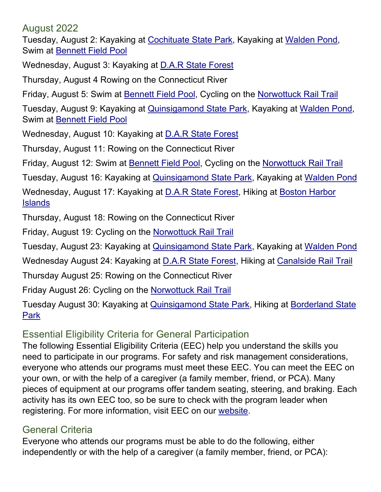#### August 2022

Tuesday, August 2: Kayaking at [Cochituate State Park,](https://www.mass.gov/locations/cochituate-state-park) Kayaking at [Walden Pond,](https://www.mass.gov/locations/walden-pond-state-reservation) Swim at [Bennett Field Pool](https://www.mass.gov/locations/veterans-memorial-bennett-field-swimming-pool)

Wednesday, August 3: Kayaking at [D.A.R State Forest](https://www.mass.gov/locations/daughters-of-the-american-revolution-dar-state-forest)

Thursday, August 4 Rowing on the Connecticut River

Friday, August 5: Swim at [Bennett Field Pool,](https://www.mass.gov/locations/veterans-memorial-bennett-field-swimming-pool) Cycling on the [Norwottuck Rail Trail](https://www.mass.gov/locations/norwottuck-rail-trail)

Tuesday, August 9: Kayaking at [Quinsigamond](https://www.mass.gov/locations/quinsigamond-state-park) State Park, Kayaking at [Walden Pond,](https://www.mass.gov/locations/walden-pond-state-reservation) Swim at [Bennett Field Pool](https://www.mass.gov/locations/veterans-memorial-bennett-field-swimming-pool)

Wednesday, August 10: Kayaking at [D.A.R State Forest](https://www.mass.gov/locations/daughters-of-the-american-revolution-dar-state-forest)

Thursday, August 11: Rowing on the Connecticut River

Friday, August 12: Swim at [Bennett Field Pool,](https://www.mass.gov/locations/veterans-memorial-bennett-field-swimming-pool) Cycling on the [Norwottuck Rail Trail](https://www.mass.gov/locations/norwottuck-rail-trail)

Tuesday, August 16: Kayaking at **Quinsigamond State Park**, Kayaking at [Walden Pond](https://www.mass.gov/locations/walden-pond-state-reservation)

Wednesday, August 17: Kayaking at [D.A.R State Forest,](https://www.mass.gov/locations/daughters-of-the-american-revolution-dar-state-forest) Hiking at [Boston Harbor](https://www.mass.gov/locations/boston-harbor-islands)  **[Islands](https://www.mass.gov/locations/boston-harbor-islands)** 

Thursday, August 18: Rowing on the Connecticut River

Friday, August 19: Cycling on the [Norwottuck Rail Trail](https://www.mass.gov/locations/daughters-of-the-american-revolution-dar-state-forest)

Tuesday, August 23: Kayaking at [Quinsigamond State Park,](https://www.mass.gov/locations/quinsigamond-state-park) Kayaking at [Walden Pond](https://www.mass.gov/locations/walden-pond-state-reservation)

Wednesday August 24: Kayaking at [D.A.R State Forest,](https://www.mass.gov/locations/daughters-of-the-american-revolution-dar-state-forest) Hiking at [Canalside Rail Trail](https://www.mass.gov/locations/canalside-rail-trail)

Thursday August 25: Rowing on the Connecticut River

Friday August 26: Cycling on the [Norwottuck Rail Trail](https://www.mass.gov/locations/norwottuck-rail-trail)

Tuesday August 30: Kayaking at [Quinsigamond State Park,](https://www.mass.gov/locations/quinsigamond-state-park) Hiking at [Borderland State](https://www.mass.gov/locations/borderland-state-park)  [Park](https://www.mass.gov/locations/borderland-state-park)

## Essential Eligibility Criteria for General Participation

The following Essential Eligibility Criteria (EEC) help you understand the skills you need to participate in our programs. For safety and risk management considerations, everyone who attends our programs must meet these EEC. You can meet the EEC on your own, or with the help of a caregiver (a family member, friend, or PCA). Many pieces of equipment at our programs offer tandem seating, steering, and braking. Each activity has its own EEC too, so be sure to check with the program leader when registering. For more information, visit EEC on our [website.](https://www.mass.gov/info-details/essential-eligibility-criteria-for-universal-access-program-participants)

# General Criteria

Everyone who attends our programs must be able to do the following, either independently or with the help of a caregiver (a family member, friend, or PCA):